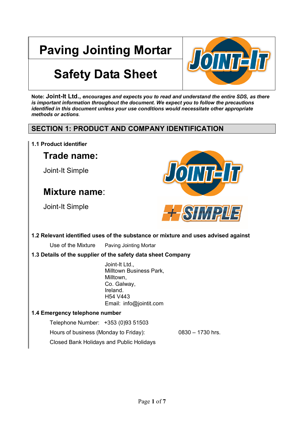# **Paving Jointing Mortar**



# **Safety Data Sheet**

**Note: Joint-It Ltd.,** *encourages and expects you to read and understand the entire SDS, as there is important information throughout the document. We expect you to follow the precautions identified in this document unless your use conditions would necessitate other appropriate methods or actions*.

# **SECTION 1: PRODUCT AND COMPANY IDENTIFICATION**

**1.1 Product identifier**

# **Trade name:**

Joint-It Simple

# **Mixture name**:

Joint-It Simple



# **1.2 Relevant identified uses of the substance or mixture and uses advised against**

Use of the Mixture Paving Jointing Mortar

# **1.3 Details of the supplier of the safety data sheet Company**

Joint-It Ltd., Milltown Business Park, Milltown, Co. Galway, Ireland. H54 V443 Email: info@jointit.com

# **1.4 Emergency telephone number**

Telephone Number: +353 (0)93 51503

Hours of business (Monday to Friday): 0830 – 1730 hrs.

Closed Bank Holidays and Public Holidays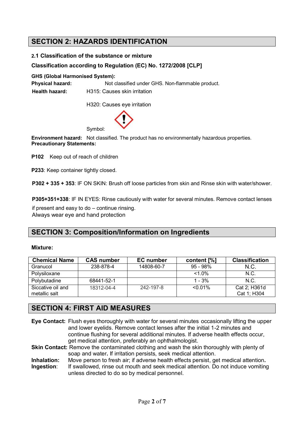# **SECTION 2: HAZARDS IDENTIFICATION**

#### **2.1 Classification of the substance or mixture**

#### **Classification according to Regulation (EC) No. 1272/2008 [CLP]**

**GHS (Global Harmonised System):**

Physical hazard: Not classified under GHS. Non-flammable product. **Health hazard:** H315: Causes skin irritation

H320: Causes eye irritation



**Environment hazard:** Not classified. The product has no environmentally hazardous properties. **Precautionary Statements:**

**P102** Keep out of reach of children

**P233**: Keep container tightly closed.

**P302 + 335 + 353**: IF ON SKIN: Brush off loose particles from skin and Rinse skin with water/shower.

**P305+351+338**: IF IN EYES: Rinse cautiously with water for several minutes. Remove contact lenses

if present and easy to do – continue rinsing. Always wear eye and hand protection

# **SECTION 3: Composition/Information on Ingredients**

#### **Mixture:**

| <b>Chemical Name</b>               | <b>CAS number</b> | EC number  | content [%] | <b>Classification</b>       |
|------------------------------------|-------------------|------------|-------------|-----------------------------|
| Granucol                           | 238-878-4         | 14808-60-7 | $95 - 98%$  | N.C.                        |
| Polysiloxane                       |                   |            | $<1.0\%$    | N.C.                        |
| Polybutadine                       | 68441-52-1        |            | $1 - 3%$    | N.C.                        |
| Siccative oil and<br>metallic salt | 18312-04-4        | 242-197-8  | $< 0.01\%$  | Cat 2: H361d<br>Cat 1; H304 |

# **SECTION 4: FIRST AID MEASURES**

- **Eye Contact:** Flush eyes thoroughly with water for several minutes occasionally lifting the upper and lower eyelids. Remove contact lenses after the initial 1-2 minutes and continue flushing for several additional minutes. If adverse health effects occur, get medical attention, preferably an ophthalmologist.
- **Skin Contact:** Remove the contaminated clothing and wash the skin thoroughly with plenty of soap and water**.** If irritation persists, seek medical attention.
- **Inhalation:** Move person to fresh air; if adverse health effects persist, get medical attention**.**
- **Ingestion:** If swallowed, rinse out mouth and seek medical attention. Do not induce vomiting unless directed to do so by medical personnel.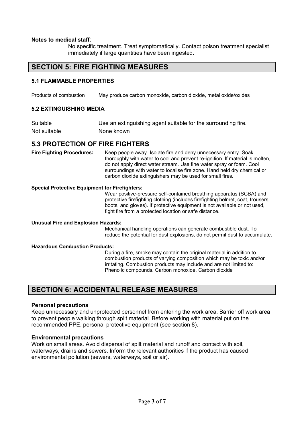#### **Notes to medical staff**:

No specific treatment. Treat symptomatically. Contact poison treatment specialist immediately if large quantities have been ingested.

# **SECTION 5: FIRE FIGHTING MEASURES**

#### **5.1 FLAMMABLE PROPERTIES**

Products of combustion May produce carbon monoxide, carbon dioxide, metal oxide/oxides

#### **5.2 EXTINGUISHING MEDIA**

| Suitable     | Use an extinguishing agent suitable for the surrounding fire. |
|--------------|---------------------------------------------------------------|
| Not suitable | None known                                                    |

## **5.3 PROTECTION OF FIRE FIGHTERS**

**Fire Fighting Procedures:** Keep people away. Isolate fire and deny unnecessary entry. Soak thoroughly with water to cool and prevent re-ignition. If material is molten, do not apply direct water stream. Use fine water spray or foam. Cool surroundings with water to localise fire zone. Hand held dry chemical or carbon dioxide extinguishers may be used for small fires.

#### **Special Protective Equipment for Firefighters:**

Wear positive-pressure self-contained breathing apparatus (SCBA) and protective firefighting clothing (includes firefighting helmet, coat, trousers, boots, and gloves). If protective equipment is not available or not used, fight fire from a protected location or safe distance.

#### **Unusual Fire and Explosion Hazards:**

Mechanical handling operations can generate combustible dust. To reduce the potential for dust explosions, do not permit dust to accumulate**.** 

#### **Hazardous Combustion Products:**

During a fire, smoke may contain the original material in addition to combustion products of varying composition which may be toxic and/or irritating. Combustion products may include and are not limited to: Phenolic compounds. Carbon monoxide. Carbon dioxide

# **SECTION 6: ACCIDENTAL RELEASE MEASURES**

#### **Personal precautions**

Keep unnecessary and unprotected personnel from entering the work area. Barrier off work area to prevent people walking through spilt material. Before working with material put on the recommended PPE, personal protective equipment (see section 8).

#### **Environmental precautions**

Work on small areas. Avoid dispersal of spilt material and runoff and contact with soil, waterways, drains and sewers. Inform the relevant authorities if the product has caused environmental pollution (sewers, waterways, soil or air).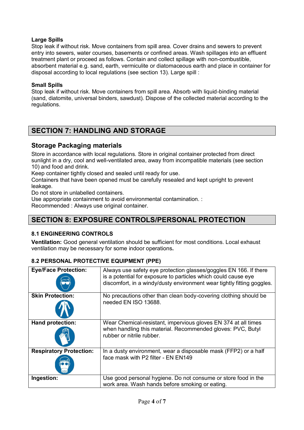## **Large Spills**

Stop leak if without risk. Move containers from spill area. Cover drains and sewers to prevent entry into sewers, water courses, basements or confined areas. Wash spillages into an effluent treatment plant or proceed as follows. Contain and collect spillage with non-combustible, absorbent material e.g. sand, earth, vermiculite or diatomaceous earth and place in container for disposal according to local regulations (see section 13). Large spill :

### **Small Spills**

Stop leak if without risk. Move containers from spill area. Absorb with liquid-binding material (sand, diatomite, universal binders, sawdust). Dispose of the collected material according to the regulations.

# **SECTION 7: HANDLING AND STORAGE**

# **Storage Packaging materials**

Store in accordance with local regulations. Store in original container protected from direct sunlight in a dry, cool and well-ventilated area, away from incompatible materials (see section 10) and food and drink.

Keep container tightly closed and sealed until ready for use.

Containers that have been opened must be carefully resealed and kept upright to prevent leakage.

Do not store in unlabelled containers.

Use appropriate containment to avoid environmental contamination. :

Recommended : Always use original container.

# **SECTION 8: EXPOSURE CONTROLS/PERSONAL PROTECTION**

## **8.1 ENGINEERING CONTROLS**

**Ventilation:** Good general ventilation should be sufficient for most conditions. Local exhaust ventilation may be necessary for some indoor operations**.**

## **8.2 PERSONAL PROTECTIVE EQUIPMENT (PPE)**

| <b>Eye/Face Protection:</b>    | Always use safety eye protection glasses/goggles EN 166. If there<br>is a potential for exposure to particles which could cause eye<br>discomfort, in a windy/dusty environment wear tightly fitting goggles. |
|--------------------------------|---------------------------------------------------------------------------------------------------------------------------------------------------------------------------------------------------------------|
| <b>Skin Protection:</b>        | No precautions other than clean body-covering clothing should be<br>needed EN ISO 13688.                                                                                                                      |
| Hand protection:               | Wear Chemical-resistant, impervious gloves EN 374 at all times<br>when handling this material. Recommended gloves: PVC, Butyl<br>rubber or nitrile rubber.                                                    |
| <b>Respiratory Protection:</b> | In a dusty environment, wear a disposable mask (FFP2) or a half<br>face mask with P2 filter - EN EN149                                                                                                        |
| Ingestion:                     | Use good personal hygiene. Do not consume or store food in the<br>work area. Wash hands before smoking or eating.                                                                                             |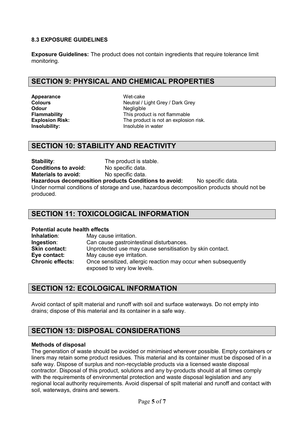## **8.3 EXPOSURE GUIDELINES**

**Exposure Guidelines:** The product does not contain ingredients that require tolerance limit monitoring.

# **SECTION 9: PHYSICAL AND CHEMICAL PROPERTIES**

Appearance **Wet-cake Odour** Negligible

**Colours Colours Colours Neutral / Light Grey / Dark Grey** This product is not flammable **Explosion Risk:** The product is not an explosion risk. **Insolubility: Insolubility: Insoluble in water** 

# **SECTION 10: STABILITY AND REACTIVITY**

**Stability:** The product is stable. **Conditions to avoid:** No specific data. **Materials to avoid:** No specific data.

**Hazardous decomposition products Conditions to avoid:** No specific data. Under normal conditions of storage and use, hazardous decomposition products should not be produced.

# **SECTION 11: TOXICOLOGICAL INFORMATION**

#### **Potential acute health effects**

| Inhalation:             | May cause irritation.                                          |
|-------------------------|----------------------------------------------------------------|
| Ingestion:              | Can cause gastrointestinal disturbances.                       |
| <b>Skin contact:</b>    | Unprotected use may cause sensitisation by skin contact.       |
| Eye contact:            | May cause eye irritation.                                      |
| <b>Chronic effects:</b> | Once sensitized, allergic reaction may occur when subsequently |
|                         | exposed to very low levels.                                    |

# **SECTION 12: ECOLOGICAL INFORMATION**

Avoid contact of spilt material and runoff with soil and surface waterways. Do not empty into drains; dispose of this material and its container in a safe way.

# **SECTION 13: DISPOSAL CONSIDERATIONS**

#### **Methods of disposal**

The generation of waste should be avoided or minimised wherever possible. Empty containers or liners may retain some product residues. This material and its container must be disposed of in a safe way. Dispose of surplus and non-recyclable products via a licensed waste disposal contractor. Disposal of this product, solutions and any by-products should at all times comply with the requirements of environmental protection and waste disposal legislation and any regional local authority requirements. Avoid dispersal of spilt material and runoff and contact with soil, waterways, drains and sewers.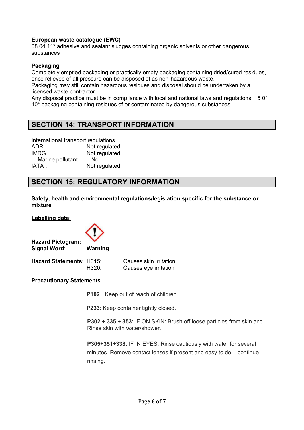#### **European waste catalogue (EWC)**

08 04 11\* adhesive and sealant sludges containing organic solvents or other dangerous substances

#### **Packaging**

Completely emptied packaging or practically empty packaging containing dried/cured residues, once relieved of all pressure can be disposed of as non-hazardous waste.

Packaging may still contain hazardous residues and disposal should be undertaken by a licensed waste contractor.

Any disposal practice must be in compliance with local and national laws and regulations. 15 01 10\* packaging containing residues of or contaminated by dangerous substances

# **SECTION 14: TRANSPORT INFORMATION**

International transport regulations ADR Not regulated IMDG Not regulated. Marine pollutant No. IATA : Not regulated.

# **SECTION 15: REGULATORY INFORMATION**

**Safety, health and environmental regulations/legislation specific for the substance or mixture**

**Labelling data:**



**Hazard Pictogram: Signal Word**: **Warning**

| <b>Hazard Statements: H315:</b> |       | Causes skin irritation |
|---------------------------------|-------|------------------------|
|                                 | H320: | Causes eye irritation  |

#### **Precautionary Statements**

**P102** Keep out of reach of children

**P233**: Keep container tightly closed.

**P302 + 335 + 353**: IF ON SKIN: Brush off loose particles from skin and Rinse skin with water/shower.

**P305+351+338**: IF IN EYES: Rinse cautiously with water for several minutes. Remove contact lenses if present and easy to do – continue rinsing.